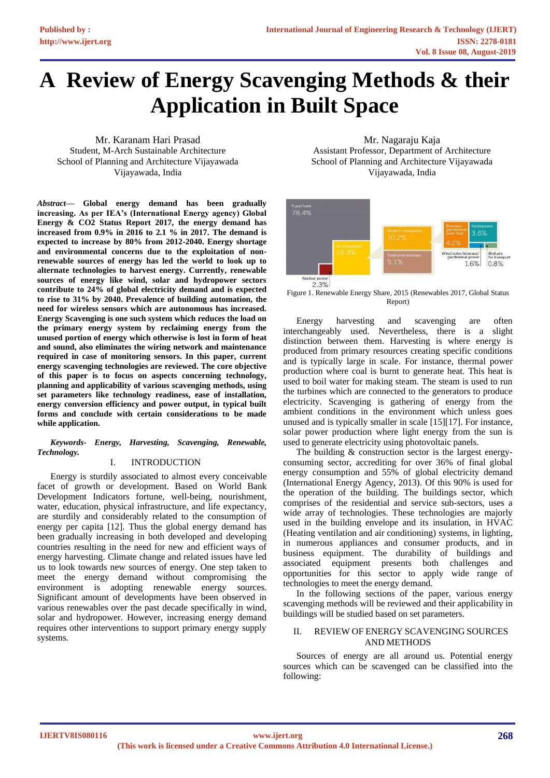# **A Review of Energy Scavenging Methods & their Application in Built Space**

Mr. Karanam Hari Prasad Student, M-Arch Sustainable Architecture School of Planning and Architecture Vijayawada Vijayawada, India

*Abstract***— Global energy demand has been gradually increasing. As per IEA's (International Energy agency) Global Energy & CO2 Status Report 2017, the energy demand has increased from 0.9% in 2016 to 2.1 % in 2017. The demand is expected to increase by 80% from 2012-2040. Energy shortage and environmental concerns due to the exploitation of nonrenewable sources of energy has led the world to look up to alternate technologies to harvest energy. Currently, renewable sources of energy like wind, solar and hydropower sectors contribute to 24% of global electricity demand and is expected to rise to 31% by 2040. Prevalence of building automation, the need for wireless sensors which are autonomous has increased. Energy Scavenging is one such system which reduces the load on the primary energy system by reclaiming energy from the unused portion of energy which otherwise is lost in form of heat and sound, also eliminates the wiring network and maintenance required in case of monitoring sensors. In this paper, current energy scavenging technologies are reviewed. The core objective of this paper is to focus on aspects concerning technology, planning and applicability of various scavenging methods, using set parameters like technology readiness, ease of installation, energy conversion efficiency and power output, in typical built forms and conclude with certain considerations to be made while application.** 

## *Keywords- Energy, Harvesting, Scavenging, Renewable, Technology.*

## I. INTRODUCTION

Energy is sturdily associated to almost every conceivable facet of growth or development. Based on World Bank Development Indicators fortune, well-being, nourishment, water, education, physical infrastructure, and life expectancy, are sturdily and considerably related to the consumption of energy per capita [12]. Thus the global energy demand has been gradually increasing in both developed and developing countries resulting in the need for new and efficient ways of energy harvesting. Climate change and related issues have led us to look towards new sources of energy. One step taken to meet the energy demand without compromising the environment is adopting renewable energy sources. Significant amount of developments have been observed in various renewables over the past decade specifically in wind, solar and hydropower. However, increasing energy demand requires other interventions to support primary energy supply systems.

Mr. Nagaraju Kaja Assistant Professor, Department of Architecture School of Planning and Architecture Vijayawada Vijayawada, India



Figure 1. Renewable Energy Share, 2015 (Renewables 2017, Global Status Report)

Energy harvesting and scavenging are often interchangeably used. Nevertheless, there is a slight distinction between them. Harvesting is where energy is produced from primary resources creating specific conditions and is typically large in scale. For instance, thermal power production where coal is burnt to generate heat. This heat is used to boil water for making steam. The steam is used to run the turbines which are connected to the generators to produce electricity. Scavenging is gathering of energy from the ambient conditions in the environment which unless goes unused and is typically smaller in scale [15][17]. For instance, solar power production where light energy from the sun is used to generate electricity using photovoltaic panels.

The building & construction sector is the largest energyconsuming sector, accrediting for over 36% of final global energy consumption and 55% of global electricity demand (International Energy Agency, 2013). Of this 90% is used for the operation of the building. The buildings sector, which comprises of the residential and service sub-sectors, uses a wide array of technologies. These technologies are majorly used in the building envelope and its insulation, in HVAC (Heating ventilation and air conditioning) systems, in lighting, in numerous appliances and consumer products, and in business equipment. The durability of buildings and associated equipment presents both challenges and opportunities for this sector to apply wide range of technologies to meet the energy demand.

In the following sections of the paper, various energy scavenging methods will be reviewed and their applicability in buildings will be studied based on set parameters.

## II. REVIEW OF ENERGY SCAVENGING SOURCES AND METHODS

Sources of energy are all around us. Potential energy sources which can be scavenged can be classified into the following: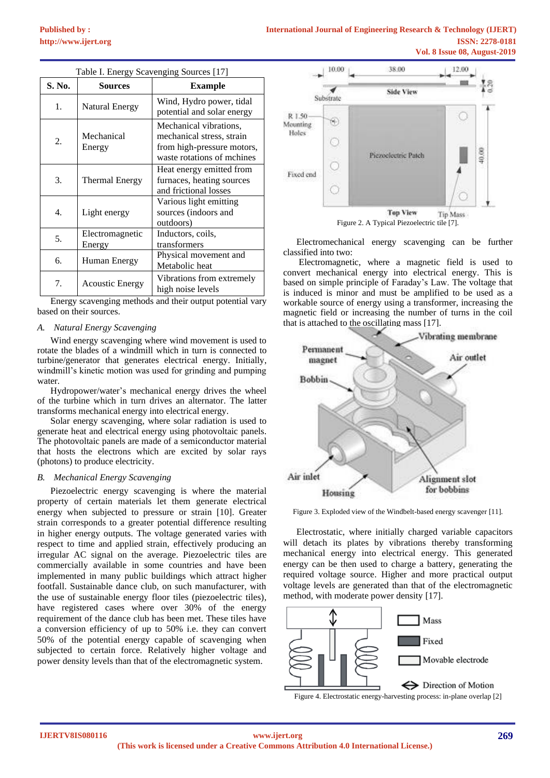| Table I. Energy Scavenging Sources [17] |                           |                                                                                                                 |  |  |  |  |
|-----------------------------------------|---------------------------|-----------------------------------------------------------------------------------------------------------------|--|--|--|--|
| S. No.                                  | <b>Sources</b>            | <b>Example</b>                                                                                                  |  |  |  |  |
| 1.                                      | Natural Energy            | Wind, Hydro power, tidal<br>potential and solar energy                                                          |  |  |  |  |
| 2.                                      | Mechanical<br>Energy      | Mechanical vibrations,<br>mechanical stress, strain<br>from high-pressure motors,<br>waste rotations of mchines |  |  |  |  |
| 3.                                      | Thermal Energy            | Heat energy emitted from<br>furnaces, heating sources<br>and frictional losses                                  |  |  |  |  |
| 4.                                      | Light energy              | Various light emitting<br>sources (indoors and<br>outdoors)                                                     |  |  |  |  |
| 5.                                      | Electromagnetic<br>Energy | Inductors, coils,<br>transformers                                                                               |  |  |  |  |
| б.                                      | Human Energy              | Physical movement and<br>Metabolic heat                                                                         |  |  |  |  |
| 7.                                      | <b>Acoustic Energy</b>    | Vibrations from extremely<br>high noise levels                                                                  |  |  |  |  |

Energy scavenging methods and their output potential vary based on their sources.

## *A. Natural Energy Scavenging*

Wind energy scavenging where wind movement is used to rotate the blades of a windmill which in turn is connected to turbine/generator that generates electrical energy. Initially, windmill's kinetic motion was used for grinding and pumping water.

Hydropower/water's mechanical energy drives the wheel of the turbine which in turn drives an alternator. The latter transforms mechanical energy into electrical energy.

Solar energy scavenging, where solar radiation is used to generate heat and electrical energy using photovoltaic panels. The photovoltaic panels are made of a semiconductor material that hosts the electrons which are excited by solar rays (photons) to produce electricity.

#### *B. Mechanical Energy Scavenging*

Piezoelectric energy scavenging is where the material property of certain materials let them generate electrical energy when subjected to pressure or strain [10]. Greater strain corresponds to a greater potential difference resulting in higher energy outputs. The voltage generated varies with respect to time and applied strain, effectively producing an irregular AC signal on the average. Piezoelectric tiles are commercially available in some countries and have been implemented in many public buildings which attract higher footfall. Sustainable dance club, on such manufacturer, with the use of sustainable energy floor tiles (piezoelectric tiles), have registered cases where over 30% of the energy requirement of the dance club has been met. These tiles have a conversion efficiency of up to 50% i.e. they can convert 50% of the potential energy capable of scavenging when subjected to certain force. Relatively higher voltage and power density levels than that of the electromagnetic system.



Electromechanical energy scavenging can be further classified into two:

Electromagnetic, where a magnetic field is used to convert mechanical energy into electrical energy. This is based on simple principle of Faraday's Law. The voltage that is induced is minor and must be amplified to be used as a workable source of energy using a transformer, increasing the magnetic field or increasing the number of turns in the coil that is attached to the oscillating mass [17].



Figure 3. Exploded view of the Windbelt-based energy scavenger [11].

Electrostatic, where initially charged variable capacitors will detach its plates by vibrations thereby transforming mechanical energy into electrical energy. This generated energy can be then used to charge a battery, generating the required voltage source. Higher and more practical output voltage levels are generated than that of the electromagnetic method, with moderate power density [17].

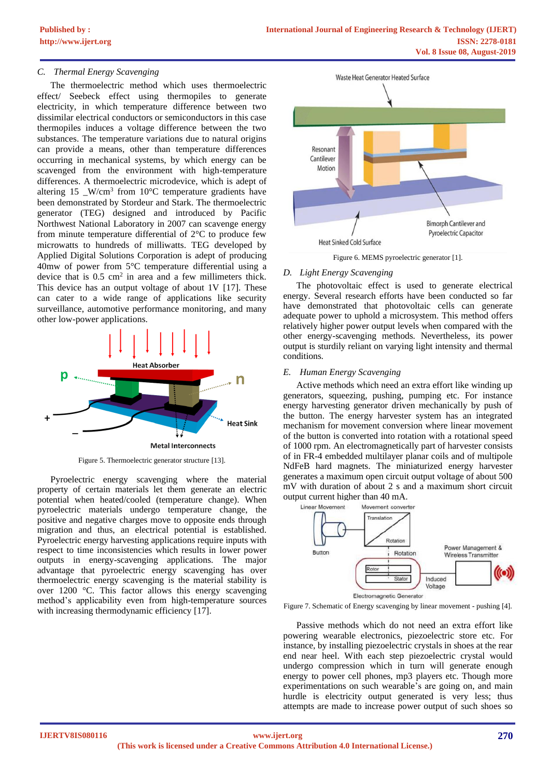## *C. Thermal Energy Scavenging*

The thermoelectric method which uses thermoelectric effect/ Seebeck effect using thermopiles to generate electricity, in which temperature difference between two dissimilar electrical conductors or semiconductors in this case thermopiles induces a voltage difference between the two substances. The temperature variations due to natural origins can provide a means, other than temperature differences occurring in mechanical systems, by which energy can be scavenged from the environment with high-temperature differences. A thermoelectric microdevice, which is adept of altering 15  $\text{W/cm}^3$  from 10°C temperature gradients have been demonstrated by Stordeur and Stark. The thermoelectric generator (TEG) designed and introduced by Pacific Northwest National Laboratory in 2007 can scavenge energy from minute temperature differential of 2°C to produce few microwatts to hundreds of milliwatts. TEG developed by Applied Digital Solutions Corporation is adept of producing 40mw of power from 5°C temperature differential using a device that is  $0.5 \text{ cm}^2$  in area and a few millimeters thick. This device has an output voltage of about 1V [17]. These can cater to a wide range of applications like security surveillance, automotive performance monitoring, and many other low-power applications.



Figure 5. Thermoelectric generator structure [13].

Pyroelectric energy scavenging where the material property of certain materials let them generate an electric potential when heated/cooled (temperature change). When pyroelectric materials undergo temperature change, the positive and negative charges move to opposite ends through migration and thus, an electrical potential is established. Pyroelectric energy harvesting applications require inputs with respect to time inconsistencies which results in lower power outputs in energy-scavenging applications. The major advantage that pyroelectric energy scavenging has over thermoelectric energy scavenging is the material stability is over 1200 °C. This factor allows this energy scavenging method's applicability even from high-temperature sources with increasing thermodynamic efficiency [17].



Figure 6. MEMS pyroelectric generator [1].

#### *D. Light Energy Scavenging*

The photovoltaic effect is used to generate electrical energy. Several research efforts have been conducted so far have demonstrated that photovoltaic cells can generate adequate power to uphold a microsystem. This method offers relatively higher power output levels when compared with the other energy-scavenging methods. Nevertheless, its power output is sturdily reliant on varying light intensity and thermal conditions.

#### *E. Human Energy Scavenging*

Active methods which need an extra effort like winding up generators, squeezing, pushing, pumping etc. For instance energy harvesting generator driven mechanically by push of the button. The energy harvester system has an integrated mechanism for movement conversion where linear movement of the button is converted into rotation with a rotational speed of 1000 rpm. An electromagnetically part of harvester consists of in FR-4 embedded multilayer planar coils and of multipole NdFeB hard magnets. The miniaturized energy harvester generates a maximum open circuit output voltage of about 500 mV with duration of about 2 s and a maximum short circuit output current higher than 40 mA.



Figure 7. Schematic of Energy scavenging by linear movement - pushing [4].

Passive methods which do not need an extra effort like powering wearable electronics, piezoelectric store etc. For instance, by installing piezoelectric crystals in shoes at the rear end near heel. With each step piezoelectric crystal would undergo compression which in turn will generate enough energy to power cell phones, mp3 players etc. Though more experimentations on such wearable's are going on, and main hurdle is electricity output generated is very less; thus attempts are made to increase power output of such shoes so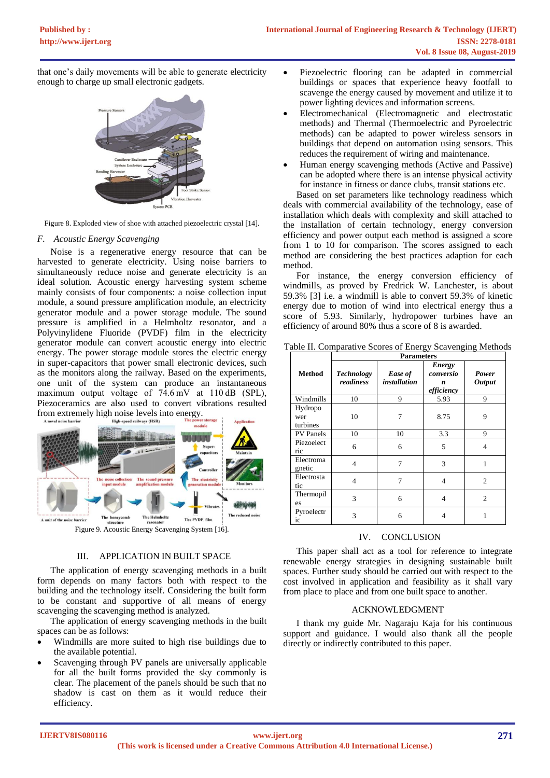that one's daily movements will be able to generate electricity enough to charge up small electronic gadgets.



Figure 8. Exploded view of shoe with attached piezoelectric crystal [14].

### *F. Acoustic Energy Scavenging*

Noise is a regenerative energy resource that can be harvested to generate electricity. Using noise barriers to simultaneously reduce noise and generate electricity is an ideal solution. Acoustic energy harvesting system scheme mainly consists of four components: a noise collection input module, a sound pressure amplification module, an electricity generator module and a power storage module. The sound pressure is amplified in a Helmholtz resonator, and a Polyvinylidene Fluoride (PVDF) film in the electricity generator module can convert acoustic energy into electric energy. The power storage module stores the electric energy in super-capacitors that power small electronic devices, such as the monitors along the railway. Based on the experiments, one unit of the system can produce an instantaneous maximum output voltage of 74.6 mV at 110 dB (SPL), Piezoceramics are also used to convert vibrations resulted from extremely high noise levels into energy.



## III. APPLICATION IN BUILT SPACE

The application of energy scavenging methods in a built form depends on many factors both with respect to the building and the technology itself. Considering the built form to be constant and supportive of all means of energy scavenging the scavenging method is analyzed.

The application of energy scavenging methods in the built spaces can be as follows:

- Windmills are more suited to high rise buildings due to the available potential.
- Scavenging through PV panels are universally applicable for all the built forms provided the sky commonly is clear. The placement of the panels should be such that no shadow is cast on them as it would reduce their efficiency.
- Piezoelectric flooring can be adapted in commercial buildings or spaces that experience heavy footfall to scavenge the energy caused by movement and utilize it to power lighting devices and information screens.
- Electromechanical (Electromagnetic and electrostatic methods) and Thermal (Thermoelectric and Pyroelectric methods) can be adapted to power wireless sensors in buildings that depend on automation using sensors. This reduces the requirement of wiring and maintenance.
- Human energy scavenging methods (Active and Passive) can be adopted where there is an intense physical activity for instance in fitness or dance clubs, transit stations etc.

Based on set parameters like technology readiness which deals with commercial availability of the technology, ease of installation which deals with complexity and skill attached to the installation of certain technology, energy conversion efficiency and power output each method is assigned a score from 1 to 10 for comparison. The scores assigned to each method are considering the best practices adaption for each method.

For instance, the energy conversion efficiency of windmills, as proved by Fredrick W. Lanchester, is about 59.3% [3] i.e. a windmill is able to convert 59.3% of kinetic energy due to motion of wind into electrical energy thus a score of 5.93. Similarly, hydropower turbines have an efficiency of around 80% thus a score of 8 is awarded.

|  |  |  |  | Table II. Comparative Scores of Energy Scavenging Methods |
|--|--|--|--|-----------------------------------------------------------|
|  |  |  |  |                                                           |

|                            | <b>Parameters</b>              |                                |                                        |                        |  |  |  |
|----------------------------|--------------------------------|--------------------------------|----------------------------------------|------------------------|--|--|--|
| <b>Method</b>              | <b>Technology</b><br>readiness | Ease of<br><i>installation</i> | Energy<br>conversio<br>n<br>efficiency | Power<br><b>Output</b> |  |  |  |
| Windmills                  | 10                             | 9                              | 5.93                                   | 9                      |  |  |  |
| Hydropo<br>wer<br>turbines | 10                             | 7                              | 8.75                                   | 9                      |  |  |  |
| <b>PV</b> Panels           | 10                             | 10                             | 3.3                                    | 9                      |  |  |  |
| Piezoelect<br>ric          | 6                              | 6                              | 5                                      | 4                      |  |  |  |
| Electroma<br>gnetic        | $\overline{4}$                 | 7                              | 3                                      | 1                      |  |  |  |
| Electrosta<br>tic          | $\overline{4}$                 | 7                              | 4                                      | 2                      |  |  |  |
| Thermopil<br>es            | 3                              | 6                              | 4                                      | 2                      |  |  |  |
| Pyroelectr<br>ic           | 3                              | 6                              | 4                                      |                        |  |  |  |

## IV. CONCLUSION

This paper shall act as a tool for reference to integrate renewable energy strategies in designing sustainable built spaces. Further study should be carried out with respect to the cost involved in application and feasibility as it shall vary from place to place and from one built space to another.

## ACKNOWLEDGMENT

I thank my guide Mr. Nagaraju Kaja for his continuous support and guidance. I would also thank all the people directly or indirectly contributed to this paper.